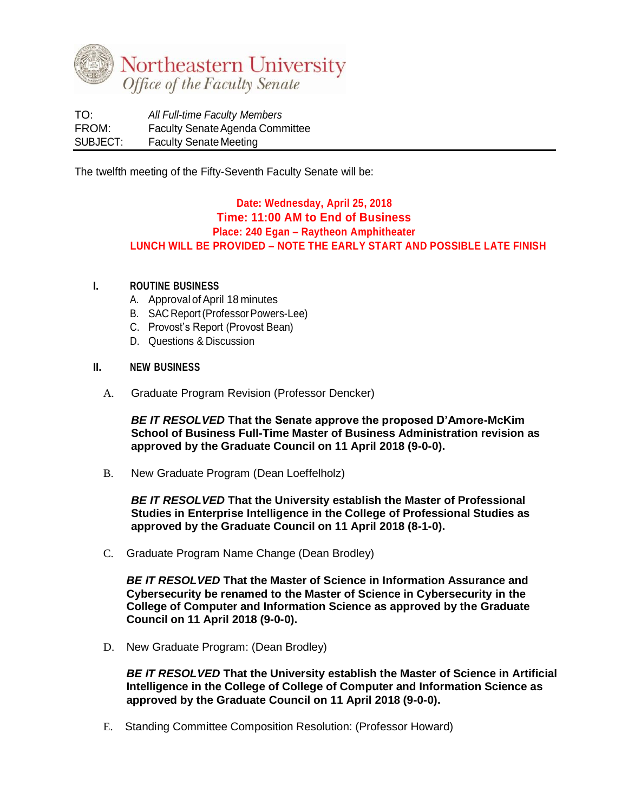

TO: *All Full-time Faculty Members* FROM: Faculty Senate Agenda Committee SUBJECT: Faculty Senate Meeting

The twelfth meeting of the Fifty-Seventh Faculty Senate will be:

## **Date: Wednesday, April 25, 2018 Time: 11:00 AM to End of Business Place: 240 Egan – Raytheon Amphitheater LUNCH WILL BE PROVIDED – NOTE THE EARLY START AND POSSIBLE LATE FINISH**

## **I. ROUTINE BUSINESS**

- A. Approval of April 18 minutes
- B. SAC Report(ProfessorPowers-Lee)
- C. Provost's Report (Provost Bean)
- D. Questions & Discussion

## **II. NEW BUSINESS**

A. Graduate Program Revision (Professor Dencker)

*BE IT RESOLVED* **That the Senate approve the proposed D'Amore-McKim School of Business Full-Time Master of Business Administration revision as approved by the Graduate Council on 11 April 2018 (9-0-0).**

B. New Graduate Program (Dean Loeffelholz)

*BE IT RESOLVED* **That the University establish the Master of Professional Studies in Enterprise Intelligence in the College of Professional Studies as approved by the Graduate Council on 11 April 2018 (8-1-0).** 

C. Graduate Program Name Change (Dean Brodley)

*BE IT RESOLVED* **That the Master of Science in Information Assurance and Cybersecurity be renamed to the Master of Science in Cybersecurity in the College of Computer and Information Science as approved by the Graduate Council on 11 April 2018 (9-0-0).**

D. New Graduate Program: (Dean Brodley)

*BE IT RESOLVED* **That the University establish the Master of Science in Artificial Intelligence in the College of College of Computer and Information Science as approved by the Graduate Council on 11 April 2018 (9-0-0).**

E. Standing Committee Composition Resolution: (Professor Howard)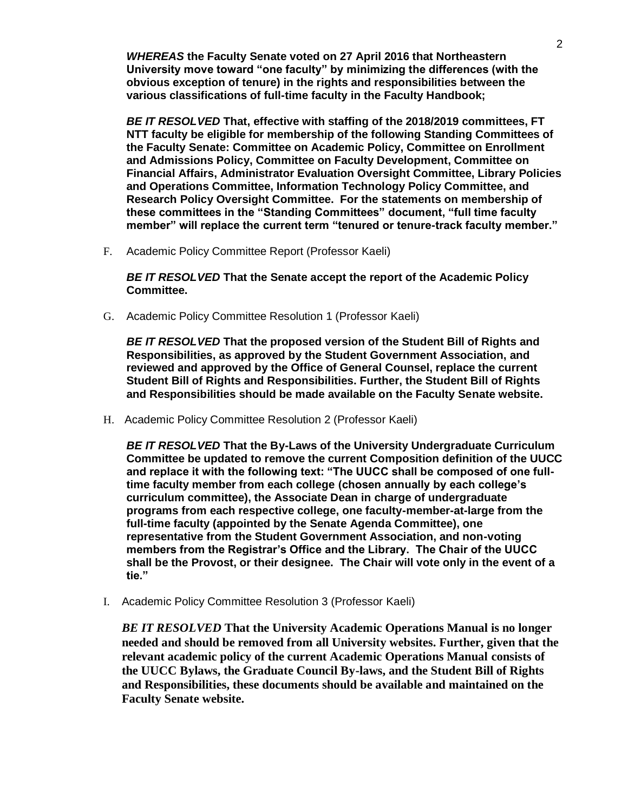*WHEREAS* **the Faculty Senate voted on 27 April 2016 that Northeastern University move toward "one faculty" by minimizing the differences (with the obvious exception of tenure) in the rights and responsibilities between the various classifications of full-time faculty in the Faculty Handbook;**

*BE IT RESOLVED* **That, effective with staffing of the 2018/2019 committees, FT NTT faculty be eligible for membership of the following Standing Committees of the Faculty Senate: Committee on Academic Policy, Committee on Enrollment and Admissions Policy, Committee on Faculty Development, Committee on Financial Affairs, Administrator Evaluation Oversight Committee, Library Policies and Operations Committee, Information Technology Policy Committee, and Research Policy Oversight Committee. For the statements on membership of these committees in the "Standing Committees" document, "full time faculty member" will replace the current term "tenured or tenure-track faculty member."**

F. Academic Policy Committee Report (Professor Kaeli)

*BE IT RESOLVED* **That the Senate accept the report of the Academic Policy Committee.**

G. Academic Policy Committee Resolution 1 (Professor Kaeli)

*BE IT RESOLVED* **That the proposed version of the Student Bill of Rights and Responsibilities, as approved by the Student Government Association, and reviewed and approved by the Office of General Counsel, replace the current Student Bill of Rights and Responsibilities. Further, the Student Bill of Rights and Responsibilities should be made available on the Faculty Senate website.**

H. Academic Policy Committee Resolution 2 (Professor Kaeli)

*BE IT RESOLVED* **That the By-Laws of the University Undergraduate Curriculum Committee be updated to remove the current Composition definition of the UUCC and replace it with the following text: "The UUCC shall be composed of one fulltime faculty member from each college (chosen annually by each college's curriculum committee), the Associate Dean in charge of undergraduate programs from each respective college, one faculty-member-at-large from the full-time faculty (appointed by the Senate Agenda Committee), one representative from the Student Government Association, and non-voting members from the Registrar's Office and the Library. The Chair of the UUCC shall be the Provost, or their designee. The Chair will vote only in the event of a tie."** 

I. Academic Policy Committee Resolution 3 (Professor Kaeli)

*BE IT RESOLVED* **That the University Academic Operations Manual is no longer needed and should be removed from all University websites. Further, given that the relevant academic policy of the current Academic Operations Manual consists of the UUCC Bylaws, the Graduate Council By-laws, and the Student Bill of Rights and Responsibilities, these documents should be available and maintained on the Faculty Senate website.**